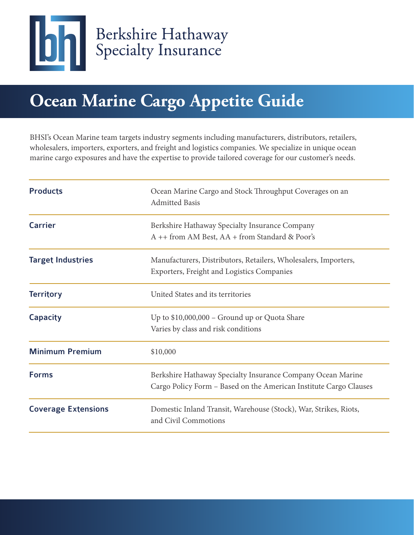

# **Ocean Marine Cargo Appetite Guide**

BHSI's Ocean Marine team targets industry segments including manufacturers, distributors, retailers, wholesalers, importers, exporters, and freight and logistics companies. We specialize in unique ocean marine cargo exposures and have the expertise to provide tailored coverage for our customer's needs.

| <b>Products</b>            | Ocean Marine Cargo and Stock Throughput Coverages on an<br><b>Admitted Basis</b>                                                 |
|----------------------------|----------------------------------------------------------------------------------------------------------------------------------|
| <b>Carrier</b>             | Berkshire Hathaway Specialty Insurance Company<br>A ++ from AM Best, AA + from Standard & Poor's                                 |
| <b>Target Industries</b>   | Manufacturers, Distributors, Retailers, Wholesalers, Importers,<br><b>Exporters, Freight and Logistics Companies</b>             |
| <b>Territory</b>           | United States and its territories                                                                                                |
| <b>Capacity</b>            | Up to \$10,000,000 - Ground up or Quota Share<br>Varies by class and risk conditions                                             |
| <b>Minimum Premium</b>     | \$10,000                                                                                                                         |
| <b>Forms</b>               | Berkshire Hathaway Specialty Insurance Company Ocean Marine<br>Cargo Policy Form - Based on the American Institute Cargo Clauses |
| <b>Coverage Extensions</b> | Domestic Inland Transit, Warehouse (Stock), War, Strikes, Riots,<br>and Civil Commotions                                         |